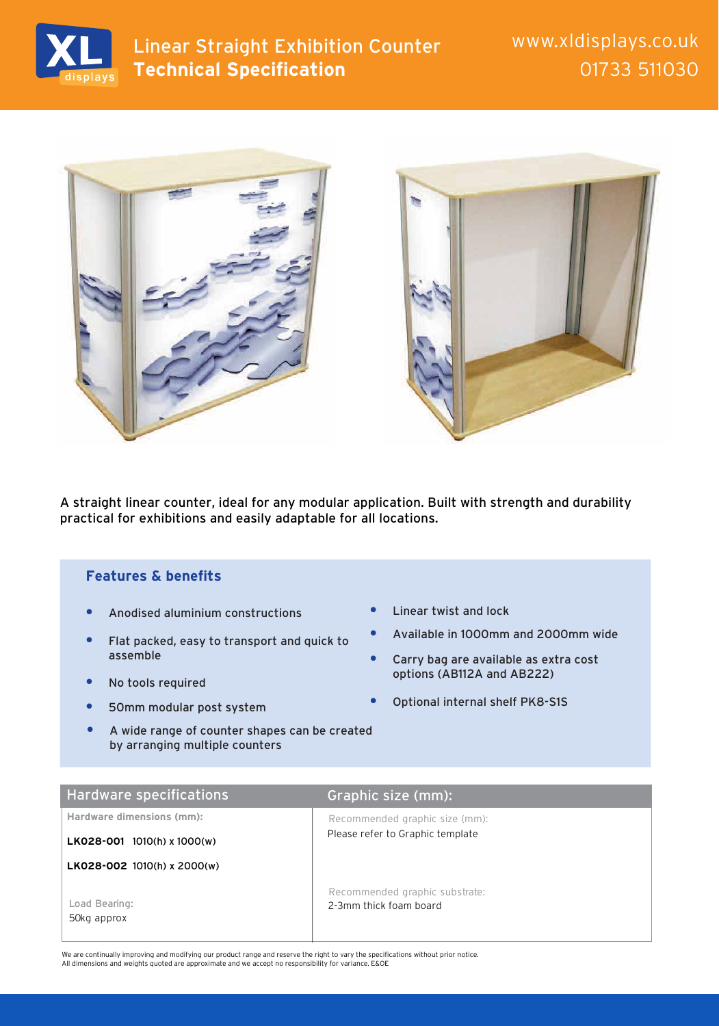



A straight linear counter, ideal for any modular application. Built with strength and durability practical for exhibitions and easily adaptable for all locations.

## **Features & benefits**

- **•** Anodised aluminium constructions
- **•** Flat packed, easy to transport and quick to assemble
- **•** No tools required
- **•** 50mm modular post system
- **•** A wide range of counter shapes can be created by arranging multiple counters
- **•** Linear twist and lock
- **•** Available in 1000mm and 2000mm wide
- **•** Carry bag are available as extra cost options (AB112A and AB222)
- **•** Optional internal shelf PK8-S1S

| <b>Hardware specifications</b> | Graphic size (mm):                                       |
|--------------------------------|----------------------------------------------------------|
| Hardware dimensions (mm):      | Recommended graphic size (mm):                           |
| $LK028-001$ 1010(h) x 1000(w)  | Please refer to Graphic template                         |
| LK028-002 1010(h) x 2000(w)    |                                                          |
| Load Bearing:<br>50kg approx   | Recommended graphic substrate:<br>2-3mm thick foam board |

We are continually improving and modifying our product range and reserve the right to vary the specifications without prior notice. All dimensions and weights quoted are approximate and we accept no responsibility for variance. E&OE